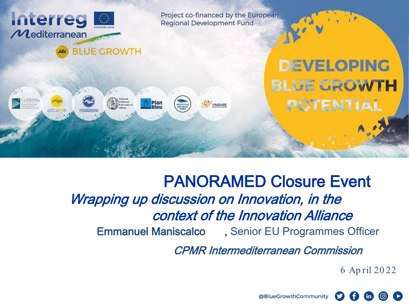

# Emmanuel Maniscalco , Senior EU Programmes Officer PANORAMED Closure Event Wrapping up discussion on Innovation, in the context of the Innovation Alliance

CPMR Intermediterranean Commission

6 Ap ril 20 22

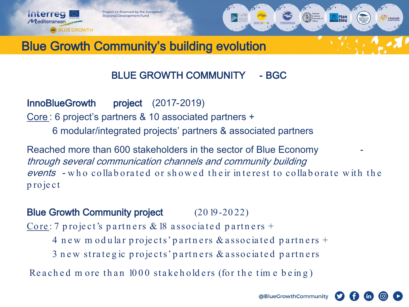

**Interreg** 

 $\mathcal M$ editerranear

**AC** BLUE GROWTH



## Blue Growth Community's building evolution

#### BLUE GROWTH COMMUNITY - BGC

InnoBlueGrowth project (2017-2019) Core : 6 project's partners & 10 associated partners + 6 modular/integrated projects' partners & associated partners

Reached more than 600 stakeholders in the sector of Blue Economy through several communication channels and community building events - who collaborated or showed their interest to collaborate with the p ro je ct

#### Blue Growth Community project (20 19-2022)

Core : 7 project's partners & 18 associated partners  $+$ 

- 4 new m odular projects' partners & associated partners +
- 3 new strategic projects' partners & associated partners

Reached m ore than  $1000$  stakeholders (for the time being)

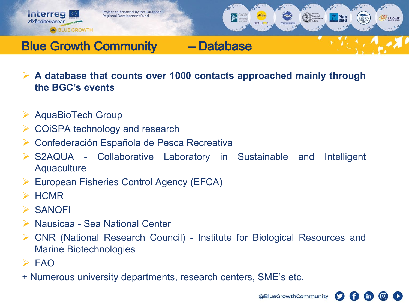



## Blue Growth Community – Database

- **A database that counts over 1000 contacts approached mainly through the BGC's events**
- $\triangleright$  AquaBioTech Group

**AC** BLUE GROWTH

- **► COISPA technology and research**
- ▶ Confederación Española de Pesca Recreativa
- S2AQUA Collaborative Laboratory in Sustainable and Intelligent **Aquaculture**
- European Fisheries Control Agency (EFCA)
- $\triangleright$  HCMR
- $\triangleright$  SANOFI

**Interreg** 

 $\mathcal M$ editerranean

- Nausicaa Sea National Center
- CNR (National Research Council) Institute for Biological Resources and Marine Biotechnologies
- $>$ FAO
- + Numerous university departments, research centers, SME's etc.



 $\mathsf{in}$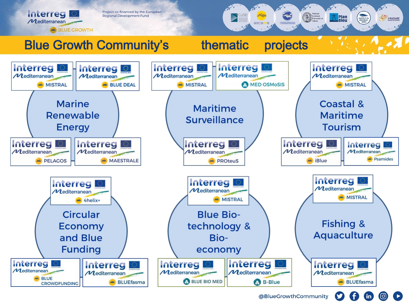

**in**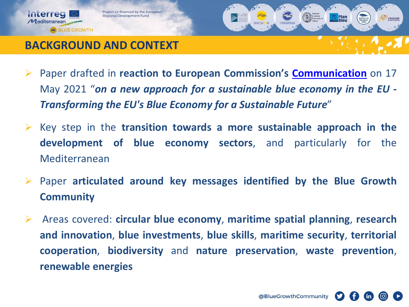

### **BACKGROUND AND CONTEXT**

- Paper drafted in **reaction to European Commission's [Communication](https://eur-lex.europa.eu/legal-content/EN/TXT/?uri=COM:2021:240:FIN)** on 17 May 2021 "*on a new approach for a sustainable blue economy in the EU - Transforming the EU's Blue Economy for a Sustainable Future*"
- Key step in the **transition towards a more sustainable approach in the development of blue economy sectors**, and particularly for the Mediterranean
- Paper **articulated around key messages identified by the Blue Growth Community**
- Areas covered: **circular blue economy**, **maritime spatial planning**, **research and innovation**, **blue investments**, **blue skills**, **maritime security**, **territorial cooperation**, **biodiversity** and **nature preservation**, **waste prevention**, **renewable energies**



**Plan**<br>**Bleu**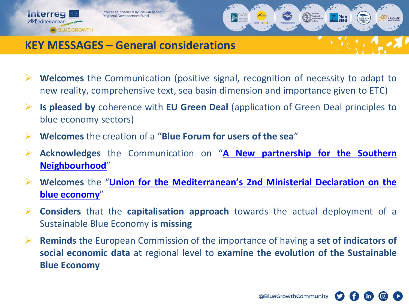Project co-financed by the European **Regional Development Fund** 

**Interreg** 

 $\mathcal M$ editerranean

**AG** BLUE GROWTH



#### **KEY MESSAGES – General considerations**

- **Welcomes** the Communication (positive signal, recognition of necessity to adapt to new reality, comprehensive text, sea basin dimension and importance given to ETC)
- **Is pleased by** coherence with **EU Green Deal** (application of Green Deal principles to blue economy sectors)
- **Welcomes** the creation of a "**Blue Forum for users of the sea**"
- **Acknowledges** the Communication on "**A New partnership for the Southern [Neighbourhood](https://eeas.europa.eu/sites/default/files/joint_communication_renewed_partnership_southern_neighbourhood.pdf)**"
- **Welcomes** the "**Union for the [Mediterranean's](https://ufmsecretariat.org/wp-content/uploads/2021/02/Declaration-UfM-Blue-Economy-EN-1.pdf) 2nd Ministerial Declaration on the blue economy**"
- **Considers** that the **capitalisation approach** towards the actual deployment of a Sustainable Blue Economy **is missing**
- **Reminds** the European Commission of the importance of having a **set of indicators of social economic data** at regional level to **examine the evolution of the Sustainable Blue Economy**

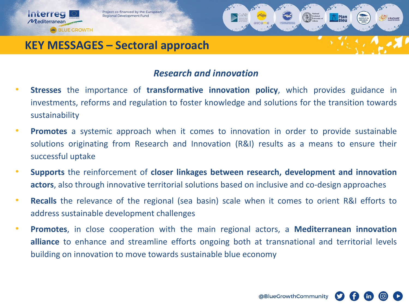



#### **KEY MESSAGES – Sectoral approach**

Interreg

 $\mathcal M$ editerranean

**AG** BLUE GROWTH

#### *Research and innovation*

- **Stresses** the importance of **transformative innovation policy**, which provides guidance in investments, reforms and regulation to foster knowledge and solutions for the transition towards sustainability
- **Promotes** a systemic approach when it comes to innovation in order to provide sustainable solutions originating from Research and Innovation (R&I) results as a means to ensure their successful uptake
- **Supports** the reinforcement of **closer linkages between research, development and innovation actors**, also through innovative territorial solutions based on inclusive and co-design approaches
- **Recalls** the relevance of the regional (sea basin) scale when it comes to orient R&I efforts to address sustainable development challenges
- **Promotes**, in close cooperation with the main regional actors, a **Mediterranean innovation alliance** to enhance and streamline efforts ongoing both at transnational and territorial levels building on innovation to move towards sustainable blue economy

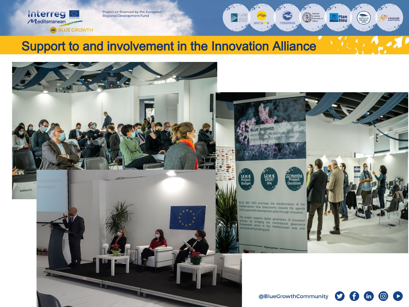Project co-financed by the European **Regional Development Fund** 

Interreg

 $\boldsymbol{\mathcal{M}}$ editerranean

301

**AG BLUE GROWTH** 





**Plan**<br>Bleu

ascarre

POMMECIO

**IrRADIARE**